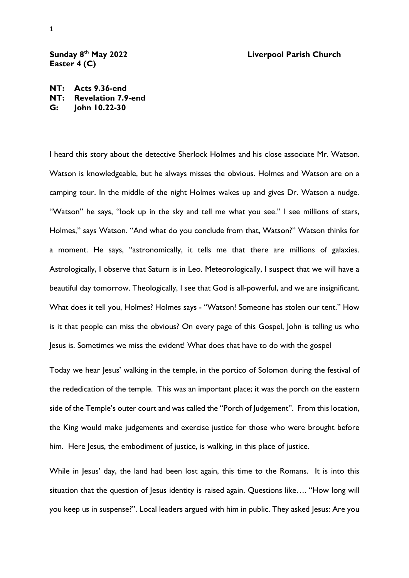## **th May 2022 Liverpool Parish Church**

## **Sunday 8 Easter 4 (C)**

**NT: Acts 9.36-end NT: Revelation 7.9-end G: John 10.22-30**

I heard this story about the detective Sherlock Holmes and his close associate Mr. Watson. Watson is knowledgeable, but he always misses the obvious. Holmes and Watson are on a camping tour. In the middle of the night Holmes wakes up and gives Dr. Watson a nudge. "Watson" he says, "look up in the sky and tell me what you see." I see millions of stars, Holmes," says Watson. "And what do you conclude from that, Watson?" Watson thinks for a moment. He says, "astronomically, it tells me that there are millions of galaxies. Astrologically, I observe that Saturn is in Leo. Meteorologically, I suspect that we will have a beautiful day tomorrow. Theologically, I see that God is all-powerful, and we are insignificant. What does it tell you, Holmes? Holmes says - "Watson! Someone has stolen our tent." How is it that people can miss the obvious? On every page of this Gospel, John is telling us who Jesus is. Sometimes we miss the evident! What does that have to do with the gospel

Today we hear Jesus' walking in the temple, in the portico of Solomon during the festival of the rededication of the temple. This was an important place; it was the porch on the eastern side of the Temple's outer court and was called the "Porch of Judgement". From this location, the King would make judgements and exercise justice for those who were brought before him. Here Jesus, the embodiment of justice, is walking, in this place of justice.

While in Jesus' day, the land had been lost again, this time to the Romans. It is into this situation that the question of Jesus identity is raised again. Questions like.... "How long will you keep us in suspense?". Local leaders argued with him in public. They asked Jesus: Are you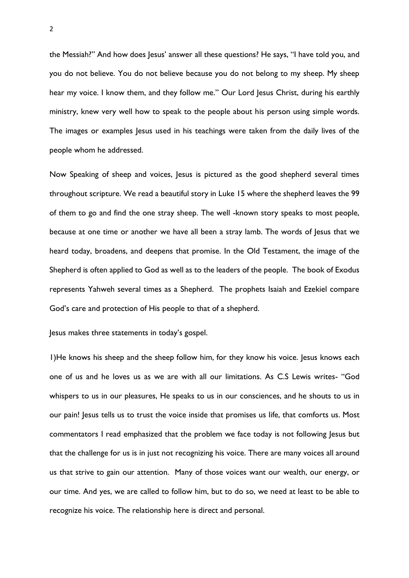the Messiah?" And how does Jesus' answer all these questions? He says, "I have told you, and you do not believe. You do not believe because you do not belong to my sheep. My sheep hear my voice. I know them, and they follow me." Our Lord Jesus Christ, during his earthly ministry, knew very well how to speak to the people about his person using simple words. The images or examples Jesus used in his teachings were taken from the daily lives of the people whom he addressed.

Now Speaking of sheep and voices, Jesus is pictured as the good shepherd several times throughout scripture. We read a beautiful story in Luke 15 where the shepherd leaves the 99 of them to go and find the one stray sheep. The well -known story speaks to most people, because at one time or another we have all been a stray lamb. The words of Jesus that we heard today, broadens, and deepens that promise. In the Old Testament, the image of the Shepherd is often applied to God as well as to the leaders of the people. The book of Exodus represents Yahweh several times as a Shepherd. The prophets Isaiah and Ezekiel compare God's care and protection of His people to that of a shepherd.

Jesus makes three statements in today's gospel.

1)He knows his sheep and the sheep follow him, for they know his voice. Jesus knows each one of us and he loves us as we are with all our limitations. As C.S Lewis writes- "God whispers to us in our pleasures, He speaks to us in our consciences, and he shouts to us in our pain! Jesus tells us to trust the voice inside that promises us life, that comforts us. Most commentators I read emphasized that the problem we face today is not following Jesus but that the challenge for us is in just not recognizing his voice. There are many voices all around us that strive to gain our attention. Many of those voices want our wealth, our energy, or our time. And yes, we are called to follow him, but to do so, we need at least to be able to recognize his voice. The relationship here is direct and personal.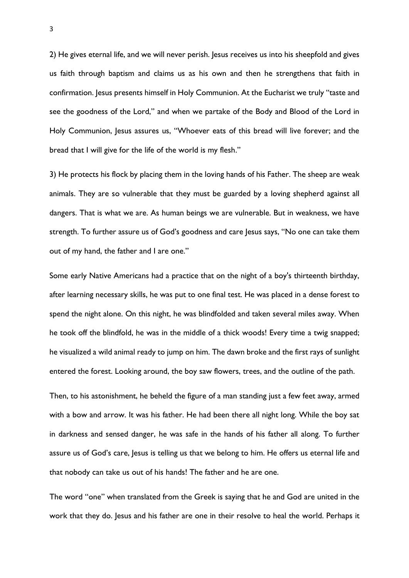2) He gives eternal life, and we will never perish. Jesus receives us into his sheepfold and gives us faith through baptism and claims us as his own and then he strengthens that faith in confirmation. Jesus presents himself in Holy Communion. At the Eucharist we truly "taste and see the goodness of the Lord," and when we partake of the Body and Blood of the Lord in Holy Communion, Jesus assures us, "Whoever eats of this bread will live forever; and the bread that I will give for the life of the world is my flesh."

3) He protects his flock by placing them in the loving hands of his Father. The sheep are weak animals. They are so vulnerable that they must be guarded by a loving shepherd against all dangers. That is what we are. As human beings we are vulnerable. But in weakness, we have strength. To further assure us of God's goodness and care Jesus says, "No one can take them out of my hand, the father and I are one."

Some early Native Americans had a practice that on the night of a boy's thirteenth birthday, after learning necessary skills, he was put to one final test. He was placed in a dense forest to spend the night alone. On this night, he was blindfolded and taken several miles away. When he took off the blindfold, he was in the middle of a thick woods! Every time a twig snapped; he visualized a wild animal ready to jump on him. The dawn broke and the first rays of sunlight entered the forest. Looking around, the boy saw flowers, trees, and the outline of the path.

Then, to his astonishment, he beheld the figure of a man standing just a few feet away, armed with a bow and arrow. It was his father. He had been there all night long. While the boy sat in darkness and sensed danger, he was safe in the hands of his father all along. To further assure us of God's care, Jesus is telling us that we belong to him. He offers us eternal life and that nobody can take us out of his hands! The father and he are one.

The word "one" when translated from the Greek is saying that he and God are united in the work that they do. Jesus and his father are one in their resolve to heal the world. Perhaps it